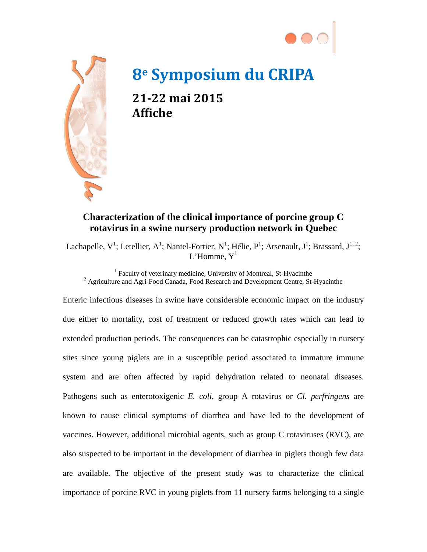



## **8e Symposium du CRIPA**

**21-22 mai 2015 Affiche**

## **Characterization of the clinical importance of porcine group C rotavirus in a swine nursery production network in Quebec**

Lachapelle, V<sup>1</sup>; Letellier, A<sup>1</sup>; Nantel-Fortier, N<sup>1</sup>; Hélie, P<sup>1</sup>; Arsenault, J<sup>1</sup>; Brassard, J<sup>1, 2</sup>; L'Homme,  $Y<sup>1</sup>$ 

<sup>1</sup> Faculty of veterinary medicine, University of Montreal, St-Hyacinthe <sup>2</sup> Agriculture and Agri-Food Canada, Food Research and Development Centre, St-Hyacinthe

Enteric infectious diseases in swine have considerable economic impact on the industry due either to mortality, cost of treatment or reduced growth rates which can lead to extended production periods. The consequences can be catastrophic especially in nursery sites since young piglets are in a susceptible period associated to immature immune system and are often affected by rapid dehydration related to neonatal diseases. Pathogens such as enterotoxigenic *E. coli*, group A rotavirus or *Cl. perfringens* are known to cause clinical symptoms of diarrhea and have led to the development of vaccines. However, additional microbial agents, such as group C rotaviruses (RVC), are also suspected to be important in the development of diarrhea in piglets though few data are available. The objective of the present study was to characterize the clinical importance of porcine RVC in young piglets from 11 nursery farms belonging to a single